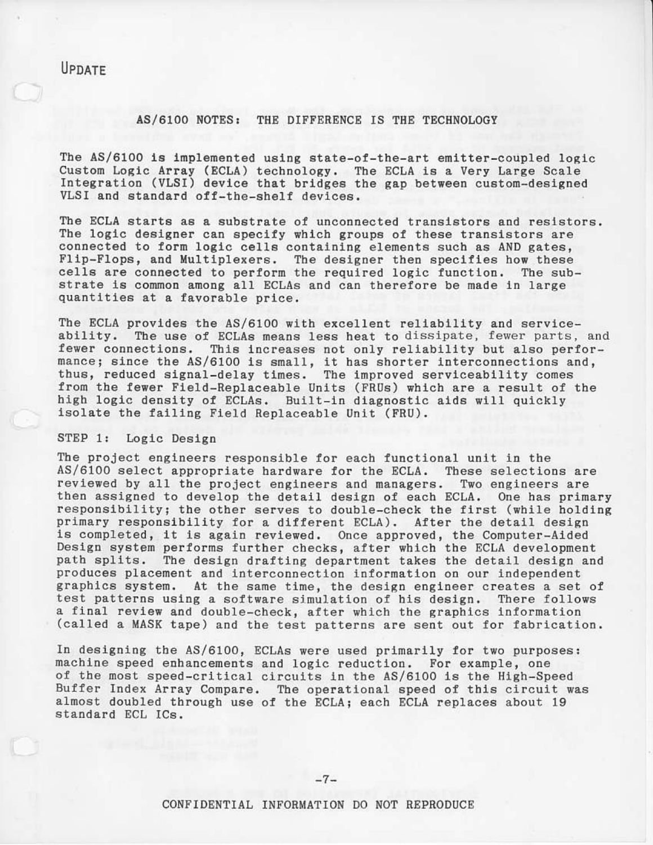UPDATE

## AS/6100 NOTES: THE DIFFERENCE IS THE TECHNOLOGY

The AS/6100 is implemented using state-of-the-art emitter-coupled logic Custom Logic Array (ECLA) technology. The ECLA is a Very Large Scale Integration (VLSI) device that bridges the gap between custom-designed VLSI and standard off-the-shelf devices.

The ECLA starts as a substrate of unconnected transistors and resistors. The logic designer can specify which groups of these transistors are connected to form logic cells containing elements such as AND gates, Flip-Flops, and Multiplexers. The designer then specifies how these cells are connected to perform the required logic function. The substrate is common among all ECLAs and can therefore be made in large quantities at a favorable price.

The ECLA provides the AS/6100 with excellent reliability and serviceability. The use of ECLAs means less heat to dissipate, fewer parts, and fewer connections. This increases not only reliability but also performance; since the AS/6100 is small, it has shorter interconnections and, thus, reduced signal-delay times. The improved serviceability comes from the fewer Field-Replaceable Units (FRUs) which are a result of the high logic density of ECLAs. Built-in diagnostic aids will quickly isolate the failing Field Replaceable Unit (FRU).

# STEP 1: Logic Design

The project engineers responsible for each functional unit in the AS/6100 select appropriate hardware for the ECLA. These selections are reviewed by all the project engineers and managers. Two engineers are then assigned to develop the detail design of each ECLA. One has primary responsibility; the other serves to double-check the first (while holding primary responsibility for a different ECLA). After the detail design is completed, it is again reviewed. Once approved, the Computer-Aided Design system performs further checks, after which the ECLA development path splits. The design drafting department takes the detail design and produces placement and interconnection information on our independent graphics system. At the same time, the design engineer creates a set of test patterns using a software simulation of his design. There follows a final review and double-check, after which the graphics information (called a MASK tape) and the test patterns are sent out for fabrication.

In designing the AS/6100, ECLAs were used primarily for two purposes: machine speed enhancements and logic reduction. For example, one of the most speed-critical circuits in the AS/6100 is the High-Speed Buffer Index Array Compare. The operational speed of this circuit was almost doubled through use of the ECLA; each ECLA replaces about 19 standard ECL ICs.